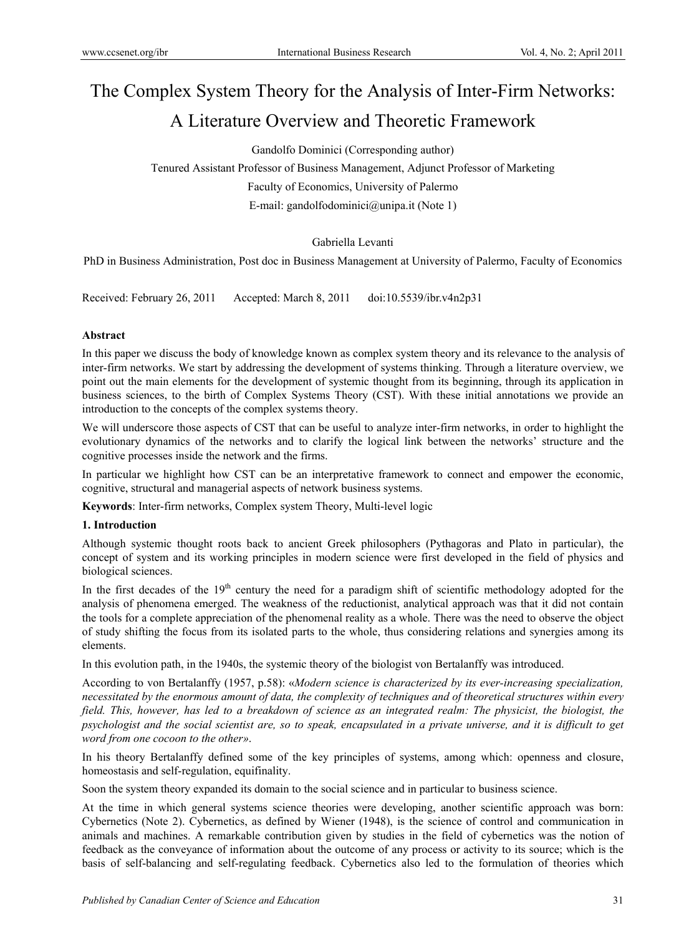# The Complex System Theory for the Analysis of Inter-Firm Networks: A Literature Overview and Theoretic Framework

Gandolfo Dominici (Corresponding author)

Tenured Assistant Professor of Business Management, Adjunct Professor of Marketing

Faculty of Economics, University of Palermo

E-mail: gandolfodominici@unipa.it (Note 1)

### Gabriella Levanti

PhD in Business Administration, Post doc in Business Management at University of Palermo, Faculty of Economics

Received: February 26, 2011 Accepted: March 8, 2011 doi:10.5539/ibr.v4n2p31

#### **Abstract**

In this paper we discuss the body of knowledge known as complex system theory and its relevance to the analysis of inter-firm networks. We start by addressing the development of systems thinking. Through a literature overview, we point out the main elements for the development of systemic thought from its beginning, through its application in business sciences, to the birth of Complex Systems Theory (CST). With these initial annotations we provide an introduction to the concepts of the complex systems theory.

We will underscore those aspects of CST that can be useful to analyze inter-firm networks, in order to highlight the evolutionary dynamics of the networks and to clarify the logical link between the networks' structure and the cognitive processes inside the network and the firms.

In particular we highlight how CST can be an interpretative framework to connect and empower the economic, cognitive, structural and managerial aspects of network business systems.

**Keywords**: Inter-firm networks, Complex system Theory, Multi-level logic

#### **1. Introduction**

Although systemic thought roots back to ancient Greek philosophers (Pythagoras and Plato in particular), the concept of system and its working principles in modern science were first developed in the field of physics and biological sciences.

In the first decades of the  $19<sup>th</sup>$  century the need for a paradigm shift of scientific methodology adopted for the analysis of phenomena emerged. The weakness of the reductionist, analytical approach was that it did not contain the tools for a complete appreciation of the phenomenal reality as a whole. There was the need to observe the object of study shifting the focus from its isolated parts to the whole, thus considering relations and synergies among its elements.

In this evolution path, in the 1940s, the systemic theory of the biologist von Bertalanffy was introduced.

According to von Bertalanffy (1957, p.58): «*Modern science is characterized by its ever-increasing specialization, necessitated by the enormous amount of data, the complexity of techniques and of theoretical structures within every field. This, however, has led to a breakdown of science as an integrated realm: The physicist, the biologist, the psychologist and the social scientist are, so to speak, encapsulated in a private universe, and it is difficult to get word from one cocoon to the other»*.

In his theory Bertalanffy defined some of the key principles of systems, among which: openness and closure, homeostasis and self-regulation, equifinality.

Soon the system theory expanded its domain to the social science and in particular to business science.

At the time in which general systems science theories were developing, another scientific approach was born: Cybernetics (Note 2). Cybernetics, as defined by Wiener (1948), is the science of control and communication in animals and machines. A remarkable contribution given by studies in the field of cybernetics was the notion of feedback as the conveyance of information about the outcome of any process or activity to its source; which is the basis of self-balancing and self-regulating feedback. Cybernetics also led to the formulation of theories which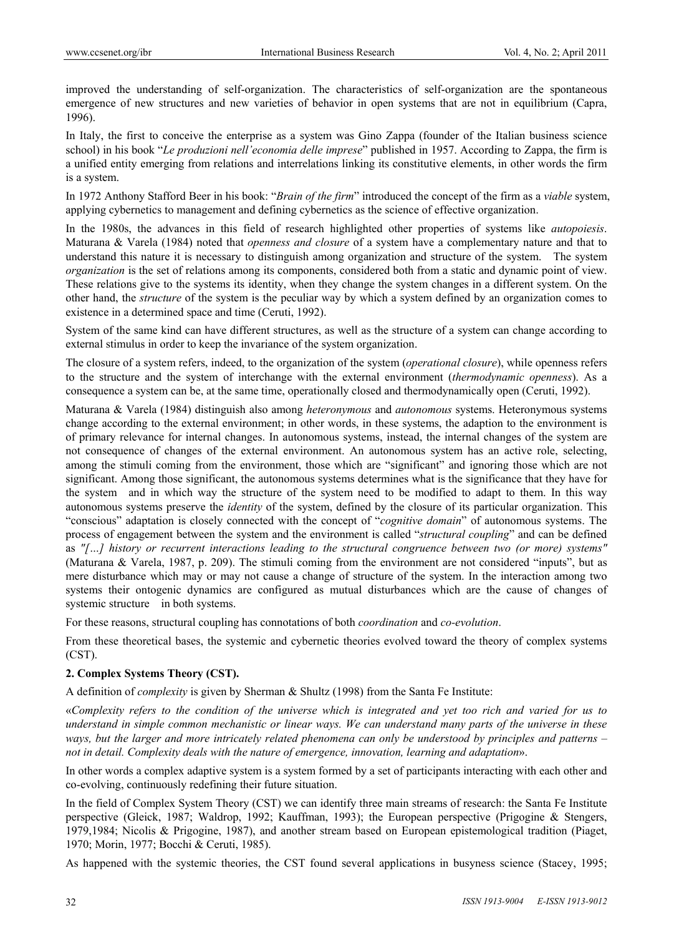improved the understanding of self-organization. The characteristics of self-organization are the spontaneous emergence of new structures and new varieties of behavior in open systems that are not in equilibrium (Capra, 1996).

In Italy, the first to conceive the enterprise as a system was Gino Zappa (founder of the Italian business science school) in his book "*Le produzioni nell'economia delle imprese*" published in 1957. According to Zappa, the firm is a unified entity emerging from relations and interrelations linking its constitutive elements, in other words the firm is a system.

In 1972 Anthony Stafford Beer in his book: "*Brain of the firm*" introduced the concept of the firm as a *viable* system, applying cybernetics to management and defining cybernetics as the science of effective organization.

In the 1980s, the advances in this field of research highlighted other properties of systems like *autopoiesis*. Maturana & Varela (1984) noted that *openness and closure* of a system have a complementary nature and that to understand this nature it is necessary to distinguish among organization and structure of the system. The system *organization* is the set of relations among its components, considered both from a static and dynamic point of view. These relations give to the systems its identity, when they change the system changes in a different system. On the other hand, the *structure* of the system is the peculiar way by which a system defined by an organization comes to existence in a determined space and time (Ceruti, 1992).

System of the same kind can have different structures, as well as the structure of a system can change according to external stimulus in order to keep the invariance of the system organization.

The closure of a system refers, indeed, to the organization of the system (*operational closure*), while openness refers to the structure and the system of interchange with the external environment (*thermodynamic openness*). As a consequence a system can be, at the same time, operationally closed and thermodynamically open (Ceruti, 1992).

Maturana & Varela (1984) distinguish also among *heteronymous* and *autonomous* systems. Heteronymous systems change according to the external environment; in other words, in these systems, the adaption to the environment is of primary relevance for internal changes. In autonomous systems, instead, the internal changes of the system are not consequence of changes of the external environment. An autonomous system has an active role, selecting, among the stimuli coming from the environment, those which are "significant" and ignoring those which are not significant. Among those significant, the autonomous systems determines what is the significance that they have for the system and in which way the structure of the system need to be modified to adapt to them. In this way autonomous systems preserve the *identity* of the system, defined by the closure of its particular organization. This "conscious" adaptation is closely connected with the concept of "*cognitive domain*" of autonomous systems. The process of engagement between the system and the environment is called "*structural coupling*" and can be defined as *"[…] history or recurrent interactions leading to the structural congruence between two (or more) systems"*  (Maturana & Varela, 1987, p. 209). The stimuli coming from the environment are not considered "inputs", but as mere disturbance which may or may not cause a change of structure of the system. In the interaction among two systems their ontogenic dynamics are configured as mutual disturbances which are the cause of changes of systemic structure in both systems.

For these reasons, structural coupling has connotations of both *coordination* and *co-evolution*.

From these theoretical bases, the systemic and cybernetic theories evolved toward the theory of complex systems (CST).

#### **2. Complex Systems Theory (CST).**

A definition of *complexity* is given by Sherman & Shultz (1998) from the Santa Fe Institute:

«*Complexity refers to the condition of the universe which is integrated and yet too rich and varied for us to understand in simple common mechanistic or linear ways. We can understand many parts of the universe in these ways, but the larger and more intricately related phenomena can only be understood by principles and patterns – not in detail. Complexity deals with the nature of emergence, innovation, learning and adaptation*».

In other words a complex adaptive system is a system formed by a set of participants interacting with each other and co-evolving, continuously redefining their future situation.

In the field of Complex System Theory (CST) we can identify three main streams of research: the Santa Fe Institute perspective (Gleick, 1987; Waldrop, 1992; Kauffman, 1993); the European perspective (Prigogine & Stengers, 1979,1984; Nicolis & Prigogine, 1987), and another stream based on European epistemological tradition (Piaget, 1970; Morin, 1977; Bocchi & Ceruti, 1985).

As happened with the systemic theories, the CST found several applications in busyness science (Stacey, 1995;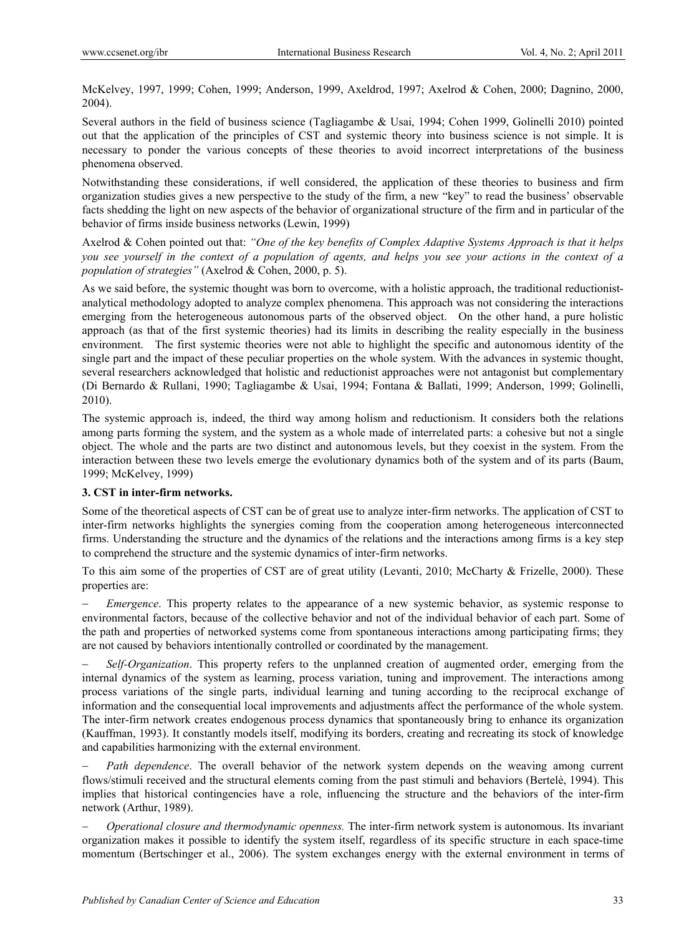McKelvey, 1997, 1999; Cohen, 1999; Anderson, 1999, Axeldrod, 1997; Axelrod & Cohen, 2000; Dagnino, 2000, 2004).

Several authors in the field of business science (Tagliagambe & Usai, 1994; Cohen 1999, Golinelli 2010) pointed out that the application of the principles of CST and systemic theory into business science is not simple. It is necessary to ponder the various concepts of these theories to avoid incorrect interpretations of the business phenomena observed.

Notwithstanding these considerations, if well considered, the application of these theories to business and firm organization studies gives a new perspective to the study of the firm, a new "key" to read the business' observable facts shedding the light on new aspects of the behavior of organizational structure of the firm and in particular of the behavior of firms inside business networks (Lewin, 1999)

Axelrod & Cohen pointed out that: *"One of the key benefits of Complex Adaptive Systems Approach is that it helps you see yourself in the context of a population of agents, and helps you see your actions in the context of a population of strategies"* (Axelrod & Cohen, 2000, p. 5).

As we said before, the systemic thought was born to overcome, with a holistic approach, the traditional reductionistanalytical methodology adopted to analyze complex phenomena. This approach was not considering the interactions emerging from the heterogeneous autonomous parts of the observed object. On the other hand, a pure holistic approach (as that of the first systemic theories) had its limits in describing the reality especially in the business environment. The first systemic theories were not able to highlight the specific and autonomous identity of the single part and the impact of these peculiar properties on the whole system. With the advances in systemic thought, several researchers acknowledged that holistic and reductionist approaches were not antagonist but complementary (Di Bernardo & Rullani, 1990; Tagliagambe & Usai, 1994; Fontana & Ballati, 1999; Anderson, 1999; Golinelli, 2010).

The systemic approach is, indeed, the third way among holism and reductionism. It considers both the relations among parts forming the system, and the system as a whole made of interrelated parts: a cohesive but not a single object. The whole and the parts are two distinct and autonomous levels, but they coexist in the system. From the interaction between these two levels emerge the evolutionary dynamics both of the system and of its parts (Baum, 1999; McKelvey, 1999)

## **3. CST in inter-firm networks.**

Some of the theoretical aspects of CST can be of great use to analyze inter-firm networks. The application of CST to inter-firm networks highlights the synergies coming from the cooperation among heterogeneous interconnected firms. Understanding the structure and the dynamics of the relations and the interactions among firms is a key step to comprehend the structure and the systemic dynamics of inter-firm networks.

To this aim some of the properties of CST are of great utility (Levanti, 2010; McCharty & Frizelle, 2000). These properties are:

*Emergence*. This property relates to the appearance of a new systemic behavior, as systemic response to environmental factors, because of the collective behavior and not of the individual behavior of each part. Some of the path and properties of networked systems come from spontaneous interactions among participating firms; they are not caused by behaviors intentionally controlled or coordinated by the management.

 *Self-Organization*. This property refers to the unplanned creation of augmented order, emerging from the internal dynamics of the system as learning, process variation, tuning and improvement. The interactions among process variations of the single parts, individual learning and tuning according to the reciprocal exchange of information and the consequential local improvements and adjustments affect the performance of the whole system. The inter-firm network creates endogenous process dynamics that spontaneously bring to enhance its organization (Kauffman, 1993). It constantly models itself, modifying its borders, creating and recreating its stock of knowledge and capabilities harmonizing with the external environment.

 *Path dependence*. The overall behavior of the network system depends on the weaving among current flows/stimuli received and the structural elements coming from the past stimuli and behaviors (Bertelè, 1994). This implies that historical contingencies have a role, influencing the structure and the behaviors of the inter-firm network (Arthur, 1989).

 *Operational closure and thermodynamic openness.* The inter-firm network system is autonomous. Its invariant organization makes it possible to identify the system itself, regardless of its specific structure in each space-time momentum (Bertschinger et al., 2006). The system exchanges energy with the external environment in terms of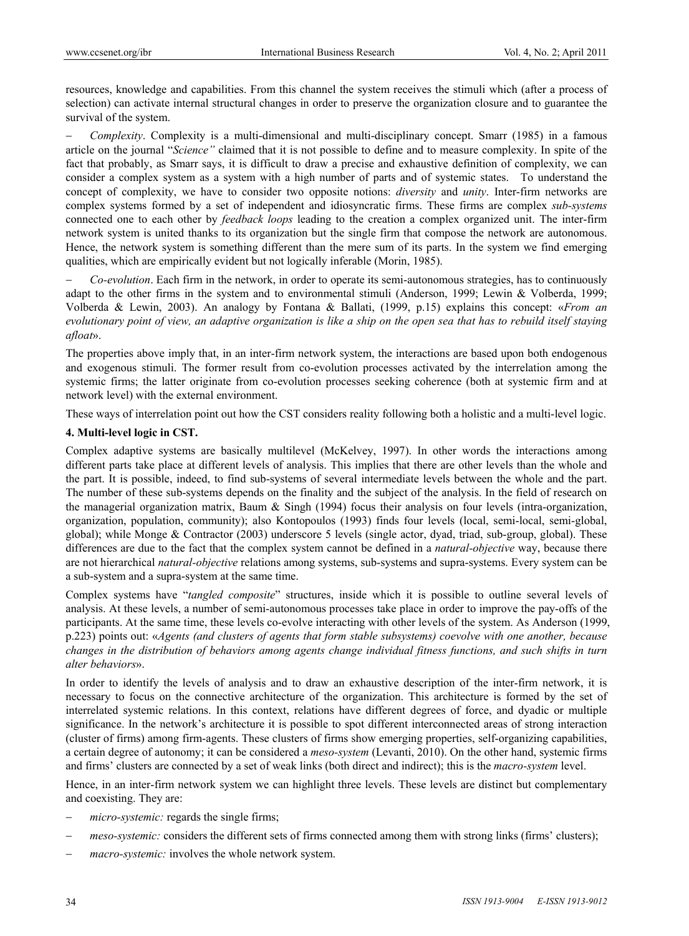resources, knowledge and capabilities. From this channel the system receives the stimuli which (after a process of selection) can activate internal structural changes in order to preserve the organization closure and to guarantee the survival of the system.

 *Complexity*. Complexity is a multi-dimensional and multi-disciplinary concept. Smarr (1985) in a famous article on the journal "*Science"* claimed that it is not possible to define and to measure complexity. In spite of the fact that probably, as Smarr says, it is difficult to draw a precise and exhaustive definition of complexity, we can consider a complex system as a system with a high number of parts and of systemic states. To understand the concept of complexity, we have to consider two opposite notions: *diversity* and *unity*. Inter-firm networks are complex systems formed by a set of independent and idiosyncratic firms. These firms are complex *sub-systems* connected one to each other by *feedback loops* leading to the creation a complex organized unit. The inter-firm network system is united thanks to its organization but the single firm that compose the network are autonomous. Hence, the network system is something different than the mere sum of its parts. In the system we find emerging qualities, which are empirically evident but not logically inferable (Morin, 1985).

 *Co-evolution*. Each firm in the network, in order to operate its semi-autonomous strategies, has to continuously adapt to the other firms in the system and to environmental stimuli (Anderson, 1999; Lewin & Volberda, 1999; Volberda & Lewin, 2003). An analogy by Fontana & Ballati, (1999, p.15) explains this concept: «*From an evolutionary point of view, an adaptive organization is like a ship on the open sea that has to rebuild itself staying afloat*».

The properties above imply that, in an inter-firm network system, the interactions are based upon both endogenous and exogenous stimuli. The former result from co-evolution processes activated by the interrelation among the systemic firms; the latter originate from co-evolution processes seeking coherence (both at systemic firm and at network level) with the external environment.

These ways of interrelation point out how the CST considers reality following both a holistic and a multi-level logic.

#### **4. Multi-level logic in CST.**

Complex adaptive systems are basically multilevel (McKelvey, 1997). In other words the interactions among different parts take place at different levels of analysis. This implies that there are other levels than the whole and the part. It is possible, indeed, to find sub-systems of several intermediate levels between the whole and the part. The number of these sub-systems depends on the finality and the subject of the analysis. In the field of research on the managerial organization matrix, Baum & Singh (1994) focus their analysis on four levels (intra-organization, organization, population, community); also Kontopoulos (1993) finds four levels (local, semi-local, semi-global, global); while Monge & Contractor (2003) underscore 5 levels (single actor, dyad, triad, sub-group, global). These differences are due to the fact that the complex system cannot be defined in a *natural-objective* way, because there are not hierarchical *natural-objective* relations among systems, sub-systems and supra-systems. Every system can be a sub-system and a supra-system at the same time.

Complex systems have "*tangled composite*" structures, inside which it is possible to outline several levels of analysis. At these levels, a number of semi-autonomous processes take place in order to improve the pay-offs of the participants. At the same time, these levels co-evolve interacting with other levels of the system. As Anderson (1999, p.223) points out: «*Agents (and clusters of agents that form stable subsystems) coevolve with one another, because changes in the distribution of behaviors among agents change individual fitness functions, and such shifts in turn alter behaviors*».

In order to identify the levels of analysis and to draw an exhaustive description of the inter-firm network, it is necessary to focus on the connective architecture of the organization. This architecture is formed by the set of interrelated systemic relations. In this context, relations have different degrees of force, and dyadic or multiple significance. In the network's architecture it is possible to spot different interconnected areas of strong interaction (cluster of firms) among firm-agents. These clusters of firms show emerging properties, self-organizing capabilities, a certain degree of autonomy; it can be considered a *meso-system* (Levanti, 2010). On the other hand, systemic firms and firms' clusters are connected by a set of weak links (both direct and indirect); this is the *macro-system* level.

Hence, in an inter-firm network system we can highlight three levels. These levels are distinct but complementary and coexisting. They are:

- *micro-systemic:* regards the single firms;
- *meso-systemic:* considers the different sets of firms connected among them with strong links (firms' clusters);
- *macro-systemic:* involves the whole network system.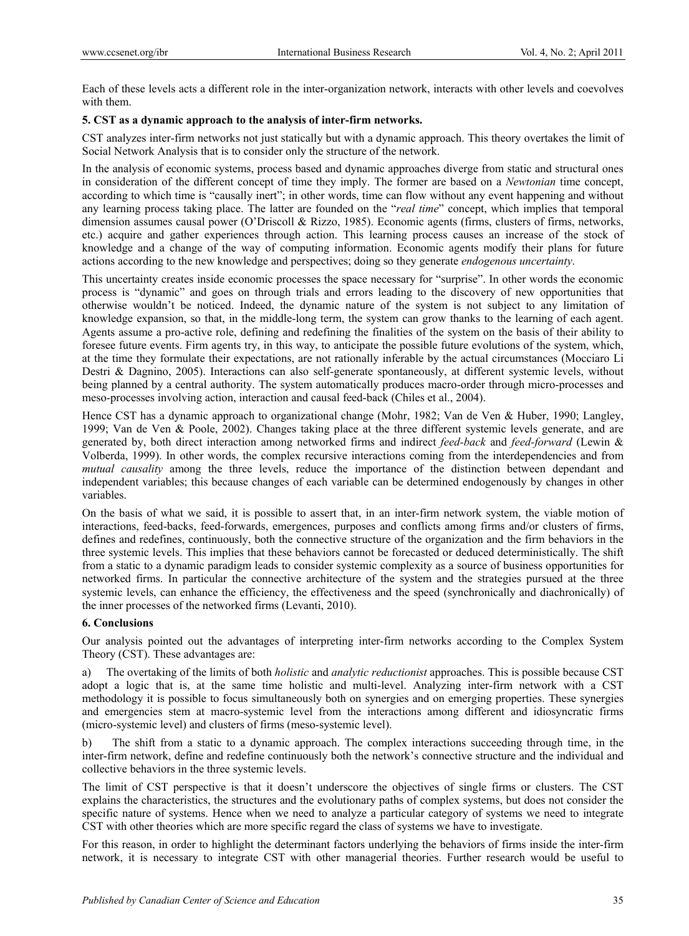Each of these levels acts a different role in the inter-organization network, interacts with other levels and coevolves with them.

#### **5. CST as a dynamic approach to the analysis of inter-firm networks.**

CST analyzes inter-firm networks not just statically but with a dynamic approach. This theory overtakes the limit of Social Network Analysis that is to consider only the structure of the network.

In the analysis of economic systems, process based and dynamic approaches diverge from static and structural ones in consideration of the different concept of time they imply. The former are based on a *Newtonian* time concept, according to which time is "causally inert"; in other words, time can flow without any event happening and without any learning process taking place. The latter are founded on the "*real time*" concept, which implies that temporal dimension assumes causal power (O'Driscoll & Rizzo, 1985). Economic agents (firms, clusters of firms, networks, etc.) acquire and gather experiences through action. This learning process causes an increase of the stock of knowledge and a change of the way of computing information. Economic agents modify their plans for future actions according to the new knowledge and perspectives; doing so they generate *endogenous uncertainty*.

This uncertainty creates inside economic processes the space necessary for "surprise". In other words the economic process is "dynamic" and goes on through trials and errors leading to the discovery of new opportunities that otherwise wouldn't be noticed. Indeed, the dynamic nature of the system is not subject to any limitation of knowledge expansion, so that, in the middle-long term, the system can grow thanks to the learning of each agent. Agents assume a pro-active role, defining and redefining the finalities of the system on the basis of their ability to foresee future events. Firm agents try, in this way, to anticipate the possible future evolutions of the system, which, at the time they formulate their expectations, are not rationally inferable by the actual circumstances (Mocciaro Li Destri & Dagnino, 2005). Interactions can also self-generate spontaneously, at different systemic levels, without being planned by a central authority. The system automatically produces macro-order through micro-processes and meso-processes involving action, interaction and causal feed-back (Chiles et al., 2004).

Hence CST has a dynamic approach to organizational change (Mohr, 1982; Van de Ven & Huber, 1990; Langley, 1999; Van de Ven & Poole, 2002). Changes taking place at the three different systemic levels generate, and are generated by, both direct interaction among networked firms and indirect *feed-back* and *feed-forward* (Lewin & Volberda, 1999). In other words, the complex recursive interactions coming from the interdependencies and from *mutual causality* among the three levels, reduce the importance of the distinction between dependant and independent variables; this because changes of each variable can be determined endogenously by changes in other variables.

On the basis of what we said, it is possible to assert that, in an inter-firm network system, the viable motion of interactions, feed-backs, feed-forwards, emergences, purposes and conflicts among firms and/or clusters of firms, defines and redefines, continuously, both the connective structure of the organization and the firm behaviors in the three systemic levels. This implies that these behaviors cannot be forecasted or deduced deterministically. The shift from a static to a dynamic paradigm leads to consider systemic complexity as a source of business opportunities for networked firms. In particular the connective architecture of the system and the strategies pursued at the three systemic levels, can enhance the efficiency, the effectiveness and the speed (synchronically and diachronically) of the inner processes of the networked firms (Levanti, 2010).

#### **6. Conclusions**

Our analysis pointed out the advantages of interpreting inter-firm networks according to the Complex System Theory (CST). These advantages are:

a) The overtaking of the limits of both *holistic* and *analytic reductionist* approaches. This is possible because CST adopt a logic that is, at the same time holistic and multi-level. Analyzing inter-firm network with a CST methodology it is possible to focus simultaneously both on synergies and on emerging properties. These synergies and emergencies stem at macro-systemic level from the interactions among different and idiosyncratic firms (micro-systemic level) and clusters of firms (meso-systemic level).

b) The shift from a static to a dynamic approach. The complex interactions succeeding through time, in the inter-firm network, define and redefine continuously both the network's connective structure and the individual and collective behaviors in the three systemic levels.

The limit of CST perspective is that it doesn't underscore the objectives of single firms or clusters. The CST explains the characteristics, the structures and the evolutionary paths of complex systems, but does not consider the specific nature of systems. Hence when we need to analyze a particular category of systems we need to integrate CST with other theories which are more specific regard the class of systems we have to investigate.

For this reason, in order to highlight the determinant factors underlying the behaviors of firms inside the inter-firm network, it is necessary to integrate CST with other managerial theories. Further research would be useful to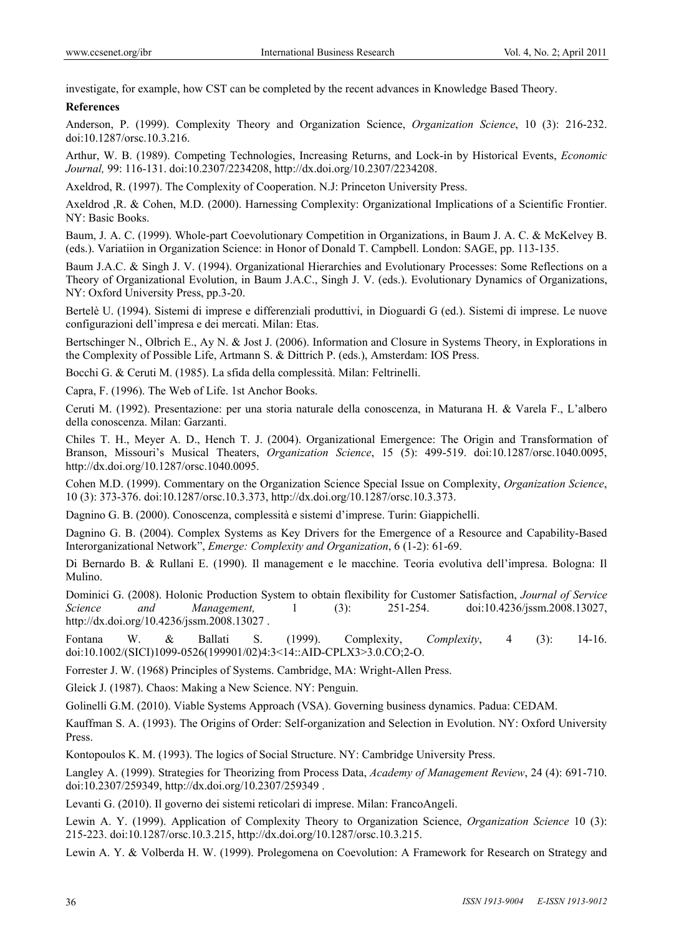investigate, for example, how CST can be completed by the recent advances in Knowledge Based Theory.

#### **References**

Anderson, P. (1999). Complexity Theory and Organization Science, *Organization Science*, 10 (3): 216-232. doi:10.1287/orsc.10.3.216.

Arthur, W. B. (1989). Competing Technologies, Increasing Returns, and Lock-in by Historical Events, *Economic Journal,* 99: 116-131. doi:10.2307/2234208, http://dx.doi.org/10.2307/2234208.

Axeldrod, R. (1997). The Complexity of Cooperation. N.J: Princeton University Press.

Axeldrod ,R. & Cohen, M.D. (2000). Harnessing Complexity: Organizational Implications of a Scientific Frontier. NY: Basic Books.

Baum, J. A. C. (1999). Whole-part Coevolutionary Competition in Organizations, in Baum J. A. C. & McKelvey B. (eds.). Variatiion in Organization Science: in Honor of Donald T. Campbell. London: SAGE, pp. 113-135.

Baum J.A.C. & Singh J. V. (1994). Organizational Hierarchies and Evolutionary Processes: Some Reflections on a Theory of Organizational Evolution, in Baum J.A.C., Singh J. V. (eds.). Evolutionary Dynamics of Organizations, NY: Oxford University Press, pp.3-20.

Bertelè U. (1994). Sistemi di imprese e differenziali produttivi, in Dioguardi G (ed.). Sistemi di imprese. Le nuove configurazioni dell'impresa e dei mercati. Milan: Etas.

Bertschinger N., Olbrich E., Ay N. & Jost J. (2006). Information and Closure in Systems Theory, in Explorations in the Complexity of Possible Life, Artmann S. & Dittrich P. (eds.), Amsterdam: IOS Press.

Bocchi G. & Ceruti M. (1985). La sfida della complessità. Milan: Feltrinelli.

Capra, F. (1996). The Web of Life. 1st Anchor Books.

Ceruti M. (1992). Presentazione: per una storia naturale della conoscenza, in Maturana H. & Varela F., L'albero della conoscenza. Milan: Garzanti.

Chiles T. H., Meyer A. D., Hench T. J. (2004). Organizational Emergence: The Origin and Transformation of Branson, Missouri's Musical Theaters, *Organization Science*, 15 (5): 499-519. doi:10.1287/orsc.1040.0095, http://dx.doi.org/10.1287/orsc.1040.0095.

Cohen M.D. (1999). Commentary on the Organization Science Special Issue on Complexity, *Organization Science*, 10 (3): 373-376. doi:10.1287/orsc.10.3.373, http://dx.doi.org/10.1287/orsc.10.3.373.

Dagnino G. B. (2000). Conoscenza, complessità e sistemi d'imprese. Turin: Giappichelli.

Dagnino G. B. (2004). Complex Systems as Key Drivers for the Emergence of a Resource and Capability-Based Interorganizational Network", *Emerge: Complexity and Organization*, 6 (1-2): 61-69.

Di Bernardo B. & Rullani E. (1990). Il management e le macchine. Teoria evolutiva dell'impresa. Bologna: Il Mulino.

Dominici G. (2008). Holonic Production System to obtain flexibility for Customer Satisfaction, *Journal of Service Science and Management,* 1 (3): 251-254. doi:10.4236/jssm.2008.13027, http://dx.doi.org/10.4236/jssm.2008.13027 .

Fontana W. & Ballati S. (1999). Complexity, *Complexity*, 4 (3): 14-16. doi:10.1002/(SICI)1099-0526(199901/02)4:3<14::AID-CPLX3>3.0.CO;2-O.

Forrester J. W. (1968) Principles of Systems. Cambridge, MA: Wright-Allen Press.

Gleick J. (1987). Chaos: Making a New Science. NY: Penguin.

Golinelli G.M. (2010). Viable Systems Approach (VSA). Governing business dynamics. Padua: CEDAM.

Kauffman S. A. (1993). The Origins of Order: Self-organization and Selection in Evolution. NY: Oxford University Press.

Kontopoulos K. M. (1993). The logics of Social Structure. NY: Cambridge University Press.

Langley A. (1999). Strategies for Theorizing from Process Data, *Academy of Management Review*, 24 (4): 691-710. doi:10.2307/259349, http://dx.doi.org/10.2307/259349 .

Levanti G. (2010). Il governo dei sistemi reticolari di imprese. Milan: FrancoAngeli.

Lewin A. Y. (1999). Application of Complexity Theory to Organization Science, *Organization Science* 10 (3): 215-223. doi:10.1287/orsc.10.3.215, http://dx.doi.org/10.1287/orsc.10.3.215.

Lewin A. Y. & Volberda H. W. (1999). Prolegomena on Coevolution: A Framework for Research on Strategy and